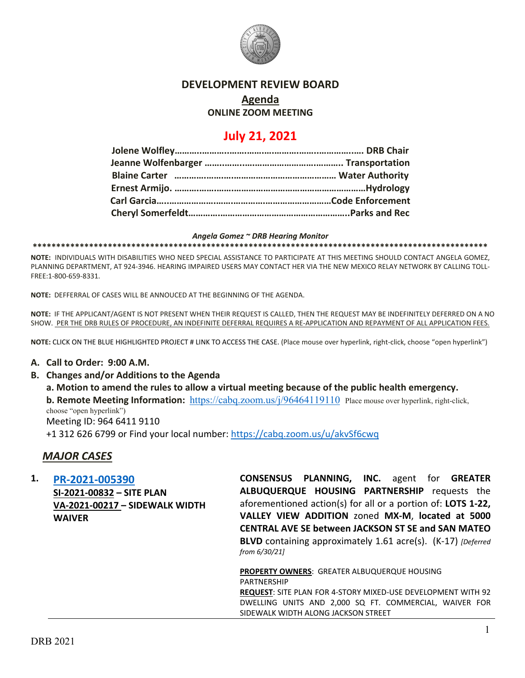

#### **DEVELOPMENT REVIEW BOARD**

# **Agenda**

#### **ONLINE ZOOM MEETING**

# **July 21, 2021**

#### *Angela Gomez ~ DRB Hearing Monitor*

**\*\*\*\*\*\*\*\*\*\*\*\*\*\*\*\*\*\*\*\*\*\*\*\*\*\*\*\*\*\*\*\*\*\*\*\*\*\*\*\*\*\*\*\*\*\*\*\*\*\*\*\*\*\*\*\*\*\*\*\*\*\*\*\*\*\*\*\*\*\*\*\*\*\*\*\*\*\*\*\*\*\*\*\*\*\*\*\*\*\*\*\*\*\*\*\*\***

**NOTE:** INDIVIDUALS WITH DISABILITIES WHO NEED SPECIAL ASSISTANCE TO PARTICIPATE AT THIS MEETING SHOULD CONTACT ANGELA GOMEZ, PLANNING DEPARTMENT, AT 924-3946. HEARING IMPAIRED USERS MAY CONTACT HER VIA THE NEW MEXICO RELAY NETWORK BY CALLING TOLL-FREE:1-800-659-8331.

**NOTE:** DEFFERRAL OF CASES WILL BE ANNOUCED AT THE BEGINNING OF THE AGENDA.

**NOTE:** IF THE APPLICANT/AGENT IS NOT PRESENT WHEN THEIR REQUEST IS CALLED, THEN THE REQUEST MAY BE INDEFINITELY DEFERRED ON A NO SHOW. PER THE DRB RULES OF PROCEDURE, AN INDEFINITE DEFERRAL REQUIRES A RE-APPLICATION AND REPAYMENT OF ALL APPLICATION FEES.

**NOTE:** CLICK ON THE BLUE HIGHLIGHTED PROJECT # LINK TO ACCESS THE CASE. (Place mouse over hyperlink, right-click, choose "open hyperlink")

#### **A. Call to Order: 9:00 A.M.**

**B. Changes and/or Additions to the Agenda**

**a. Motion to amend the rules to allow a virtual meeting because of the public health emergency. b. Remote Meeting Information:** <https://cabq.zoom.us/j/96464119110> Place mouse over hyperlink, right-click, choose "open hyperlink") Meeting ID: 964 6411 9110 +1 312 626 6799 or Find your local number:<https://cabq.zoom.us/u/akvSf6cwq>

#### *MAJOR CASES*

| 1. | PR-2021-005390                        | <b>CONSENSUS PLANNING, INC.</b> agent for <b>GREATER</b>                              |
|----|---------------------------------------|---------------------------------------------------------------------------------------|
|    | SI-2021-00832 - SITE PLAN             | ALBUQUERQUE HOUSING PARTNERSHIP requests the                                          |
|    | <b>VA-2021-00217 - SIDEWALK WIDTH</b> | aforementioned action(s) for all or a portion of: <b>LOTS 1-22</b> ,                  |
|    | <b>WAIVER</b>                         | VALLEY VIEW ADDITION zoned MX-M, located at 5000                                      |
|    |                                       | <b>CENTRAL AVE SE between JACKSON ST SE and SAN MATEO</b>                             |
|    |                                       | <b>BLVD</b> containing approximately 1.61 acre(s). (K-17) [Deferred]<br>from 6/30/21] |
|    |                                       | <b>PROPERTY OWNERS: GREATER ALBUQUERQUE HOUSING</b>                                   |
|    |                                       | PARTNERSHIP                                                                           |
|    |                                       | <b>REQUEST:</b> SITE PLAN FOR 4-STORY MIXED-USE DEVELOPMENT WITH 92                   |
|    |                                       | DWELLING UNITS AND 2,000 SQ FT. COMMERCIAL, WAIVER FOR                                |

SIDEWALK WIDTH ALONG JACKSON STREET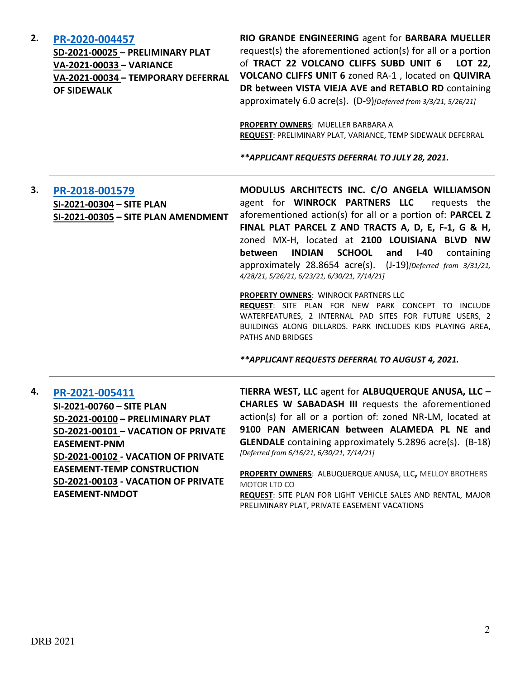| <b>DRB 2021</b> |  |
|-----------------|--|

**EASEMENT-NMDOT**

# 2

|    |                                                                                                                                                                                      | <b>PROPERTY OWNERS: MUELLER BARBARA A</b><br>REQUEST: PRELIMINARY PLAT, VARIANCE, TEMP SIDEWALK DEFERRAL<br>** APPLICANT REQUESTS DEFERRAL TO JULY 28, 2021.                                                                                                                                                                                                                                                                                                                                                                                                     |
|----|--------------------------------------------------------------------------------------------------------------------------------------------------------------------------------------|------------------------------------------------------------------------------------------------------------------------------------------------------------------------------------------------------------------------------------------------------------------------------------------------------------------------------------------------------------------------------------------------------------------------------------------------------------------------------------------------------------------------------------------------------------------|
| 3. | PR-2018-001579<br>SI-2021-00304 - SITE PLAN<br>SI-2021-00305 - SITE PLAN AMENDMENT                                                                                                   | MODULUS ARCHITECTS INC. C/O ANGELA WILLIAMSON<br>agent for WINROCK PARTNERS LLC<br>requests the<br>aforementioned action(s) for all or a portion of: PARCEL Z<br>FINAL PLAT PARCEL Z AND TRACTS A, D, E, F-1, G & H,<br>zoned MX-H, located at 2100 LOUISIANA BLVD NW<br><b>INDIAN</b><br><b>SCHOOL</b><br>$I-40$<br>between<br>and<br>containing<br>approximately 28.8654 acre(s). (J-19)[Deferred from 3/31/21,<br>4/28/21, 5/26/21, 6/23/21, 6/30/21, 7/14/21]<br>PROPERTY OWNERS: WINROCK PARTNERS LLC<br>REQUEST: SITE PLAN FOR NEW PARK CONCEPT TO INCLUDE |
|    |                                                                                                                                                                                      | WATERFEATURES, 2 INTERNAL PAD SITES FOR FUTURE USERS, 2<br>BUILDINGS ALONG DILLARDS. PARK INCLUDES KIDS PLAYING AREA,<br>PATHS AND BRIDGES                                                                                                                                                                                                                                                                                                                                                                                                                       |
|    |                                                                                                                                                                                      | ** APPLICANT REQUESTS DEFERRAL TO AUGUST 4, 2021.                                                                                                                                                                                                                                                                                                                                                                                                                                                                                                                |
| 4. | PR-2021-005411<br>SI-2021-00760 - SITE PLAN<br>SD-2021-00100 - PRELIMINARY PLAT<br>SD-2021-00101 - VACATION OF PRIVATE<br><b>EASEMENT-PNM</b><br>SD-2021-00102 - VACATION OF PRIVATE | TIERRA WEST, LLC agent for ALBUQUERQUE ANUSA, LLC -<br><b>CHARLES W SABADASH III</b> requests the aforementioned<br>action(s) for all or a portion of: zoned NR-LM, located at<br>9100 PAN AMERICAN between ALAMEDA PL NE and<br><b>GLENDALE</b> containing approximately 5.2896 acre(s). (B-18)<br>[Deferred from 6/16/21, 6/30/21, 7/14/21]                                                                                                                                                                                                                    |
|    | <b>EASEMENT-TEMP CONSTRUCTION</b><br>SD-2021-00103 - VACATION OF PRIVATE                                                                                                             | PROPERTY OWNERS: ALBUQUERQUE ANUSA, LLC, MELLOY BROTHERS<br><b>MOTOR LTD CO</b>                                                                                                                                                                                                                                                                                                                                                                                                                                                                                  |

**2. [PR-2020-004457](http://data.cabq.gov/government/planning/DRB/PR-2020-004457/DRB%20Submittals/)**

**SD-2021-00025 – PRELIMINARY PLAT VA-2021-00033 – VARIANCE VA-2021-00034 – TEMPORARY DEFERRAL OF SIDEWALK**

**RIO GRANDE ENGINEERING** agent for **BARBARA MUELLER** request(s) the aforementioned action(s) for all or a portion of **TRACT 22 VOLCANO CLIFFS SUBD UNIT 6 LOT 22, VOLCANO CLIFFS UNIT 6** zoned RA-1 , located on **QUIVIRA DR between VISTA VIEJA AVE and RETABLO RD** containing approximately 6.0 acre(s). (D-9)*[Deferred from 3/3/21, 5/26/21]*

**MELLOY BROTHERS** MOTOR LTD CO

**REQUEST**: SITE PLAN FOR LIGHT VEHICLE SALES AND RENTAL, MAJOR PRELIMINARY PLAT, PRIVATE EASEMENT VACATIONS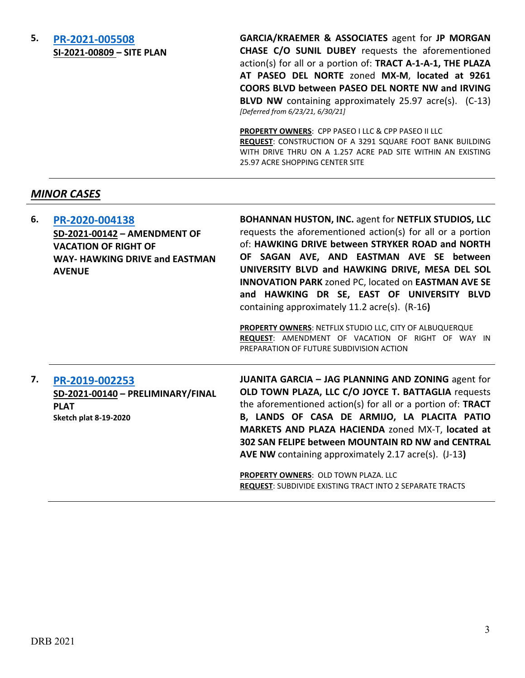#### **5. [PR-2021-005508](http://data.cabq.gov/government/planning/DRB/PR-2021-005508/DRB%20Submittals/) SI-2021-00809 – SITE PLAN**

**GARCIA/KRAEMER & ASSOCIATES** agent for **JP MORGAN CHASE C/O SUNIL DUBEY** requests the aforementioned action(s) for all or a portion of: **TRACT A-1-A-1, THE PLAZA AT PASEO DEL NORTE** zoned **MX-M**, **located at 9261 COORS BLVD between PASEO DEL NORTE NW and IRVING BLVD NW** containing approximately 25.97 acre(s). (C-13) *[Deferred from 6/23/21, 6/30/21]*

**PROPERTY OWNERS**: CPP PASEO I LLC & CPP PASEO II LLC **REQUEST**: CONSTRUCTION OF A 3291 SQUARE FOOT BANK BUILDING WITH DRIVE THRU ON A 1.257 ACRE PAD SITE WITHIN AN EXISTING 25.97 ACRE SHOPPING CENTER SITE

# *MINOR CASES*

| 6. | PR-2020-004138<br>SD-2021-00142 - AMENDMENT OF<br><b>VACATION OF RIGHT OF</b><br><b>WAY- HAWKING DRIVE and EASTMAN</b><br><b>AVENUE</b> | BOHANNAN HUSTON, INC. agent for NETFLIX STUDIOS, LLC<br>requests the aforementioned action(s) for all or a portion<br>of: HAWKING DRIVE between STRYKER ROAD and NORTH<br>OF SAGAN AVE, AND EASTMAN AVE SE between<br>UNIVERSITY BLVD and HAWKING DRIVE, MESA DEL SOL<br><b>INNOVATION PARK zoned PC, located on EASTMAN AVE SE</b><br>and HAWKING DR SE, EAST OF UNIVERSITY BLVD<br>containing approximately 11.2 acre(s). (R-16)<br>PROPERTY OWNERS: NETFLIX STUDIO LLC, CITY OF ALBUQUERQUE<br>REQUEST: AMENDMENT OF VACATION OF RIGHT OF WAY IN<br>PREPARATION OF FUTURE SUBDIVISION ACTION |
|----|-----------------------------------------------------------------------------------------------------------------------------------------|-------------------------------------------------------------------------------------------------------------------------------------------------------------------------------------------------------------------------------------------------------------------------------------------------------------------------------------------------------------------------------------------------------------------------------------------------------------------------------------------------------------------------------------------------------------------------------------------------|
| 7. | PR-2019-002253<br>SD-2021-00140 - PRELIMINARY/FINAL<br><b>PLAT</b><br><b>Sketch plat 8-19-2020</b>                                      | <b>JUANITA GARCIA - JAG PLANNING AND ZONING agent for</b><br>OLD TOWN PLAZA, LLC C/O JOYCE T. BATTAGLIA requests<br>the aforementioned action(s) for all or a portion of: TRACT<br>B, LANDS OF CASA DE ARMIJO, LA PLACITA PATIO<br>MARKETS AND PLAZA HACIENDA zoned MX-T, located at<br>302 SAN FELIPE between MOUNTAIN RD NW and CENTRAL<br><b>AVE NW</b> containing approximately 2.17 acre(s). (J-13)<br>PROPERTY OWNERS: OLD TOWN PLAZA. LLC<br><b>REQUEST: SUBDIVIDE EXISTING TRACT INTO 2 SEPARATE TRACTS</b>                                                                             |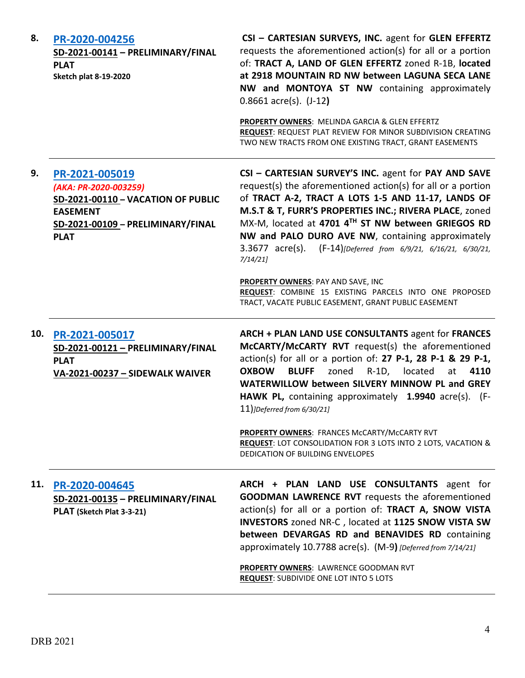| 8.  | PR-2020-004256<br>SD-2021-00141 - PRELIMINARY/FINAL<br><b>PLAT</b><br><b>Sketch plat 8-19-2020</b>                                                   | CSI - CARTESIAN SURVEYS, INC. agent for GLEN EFFERTZ<br>requests the aforementioned action(s) for all or a portion<br>of: TRACT A, LAND OF GLEN EFFERTZ zoned R-1B, located<br>at 2918 MOUNTAIN RD NW between LAGUNA SECA LANE<br>NW and MONTOYA ST NW containing approximately<br>$0.8661$ acre(s). $(J-12)$                                                                                                                             |
|-----|------------------------------------------------------------------------------------------------------------------------------------------------------|-------------------------------------------------------------------------------------------------------------------------------------------------------------------------------------------------------------------------------------------------------------------------------------------------------------------------------------------------------------------------------------------------------------------------------------------|
|     |                                                                                                                                                      | PROPERTY OWNERS: MELINDA GARCIA & GLEN EFFERTZ<br>REQUEST: REQUEST PLAT REVIEW FOR MINOR SUBDIVISION CREATING<br>TWO NEW TRACTS FROM ONE EXISTING TRACT, GRANT EASEMENTS                                                                                                                                                                                                                                                                  |
| 9.  | PR-2021-005019<br>(AKA: PR-2020-003259)<br>SD-2021-00110 - VACATION OF PUBLIC<br><b>EASEMENT</b><br>SD-2021-00109 - PRELIMINARY/FINAL<br><b>PLAT</b> | CSI - CARTESIAN SURVEY'S INC. agent for PAY AND SAVE<br>request(s) the aforementioned action(s) for all or a portion<br>of TRACT A-2, TRACT A LOTS 1-5 AND 11-17, LANDS OF<br>M.S.T & T, FURR'S PROPERTIES INC.; RIVERA PLACE, zoned<br>MX-M, located at 4701 4TH ST NW between GRIEGOS RD<br>NW and PALO DURO AVE NW, containing approximately<br>$3.3677 \text{ acre(s)}.$<br>(F-14)[Deferred from 6/9/21, 6/16/21, 6/30/21,<br>7/14/21 |
|     |                                                                                                                                                      | PROPERTY OWNERS: PAY AND SAVE, INC<br>REQUEST: COMBINE 15 EXISTING PARCELS INTO ONE PROPOSED<br>TRACT, VACATE PUBLIC EASEMENT, GRANT PUBLIC EASEMENT                                                                                                                                                                                                                                                                                      |
| 10. | PR-2021-005017<br>SD-2021-00121 - PRELIMINARY/FINAL<br><b>PLAT</b><br>VA-2021-00237 - SIDEWALK WAIVER                                                | ARCH + PLAN LAND USE CONSULTANTS agent for FRANCES<br>McCARTY/McCARTY RVT request(s) the aforementioned<br>action(s) for all or a portion of: 27 P-1, 28 P-1 & 29 P-1,<br><b>OXBOW</b><br><b>BLUFF</b><br>zoned<br>$R-1D$ ,<br>located<br>4110<br>at<br>WATERWILLOW between SILVERY MINNOW PL and GREY<br>HAWK PL, containing approximately 1.9940 acre(s). (F-<br>$11$ )]Deferred from 6/30/21]                                          |
|     |                                                                                                                                                      | <b>PROPERTY OWNERS: FRANCES McCARTY/McCARTY RVT</b><br><b>REQUEST: LOT CONSOLIDATION FOR 3 LOTS INTO 2 LOTS, VACATION &amp;</b><br>DEDICATION OF BUILDING ENVELOPES                                                                                                                                                                                                                                                                       |
| 11. | PR-2020-004645<br>SD-2021-00135 - PRELIMINARY/FINAL<br>PLAT (Sketch Plat 3-3-21)                                                                     | ARCH + PLAN LAND USE CONSULTANTS agent for<br><b>GOODMAN LAWRENCE RVT</b> requests the aforementioned<br>action(s) for all or a portion of: TRACT A, SNOW VISTA<br>INVESTORS zoned NR-C, located at 1125 SNOW VISTA SW<br>between DEVARGAS RD and BENAVIDES RD containing<br>approximately 10.7788 acre(s). (M-9) [Deferred from 7/14/21]                                                                                                 |
|     |                                                                                                                                                      | PROPERTY OWNERS: LAWRENCE GOODMAN RVT<br><b>REQUEST: SUBDIVIDE ONE LOT INTO 5 LOTS</b>                                                                                                                                                                                                                                                                                                                                                    |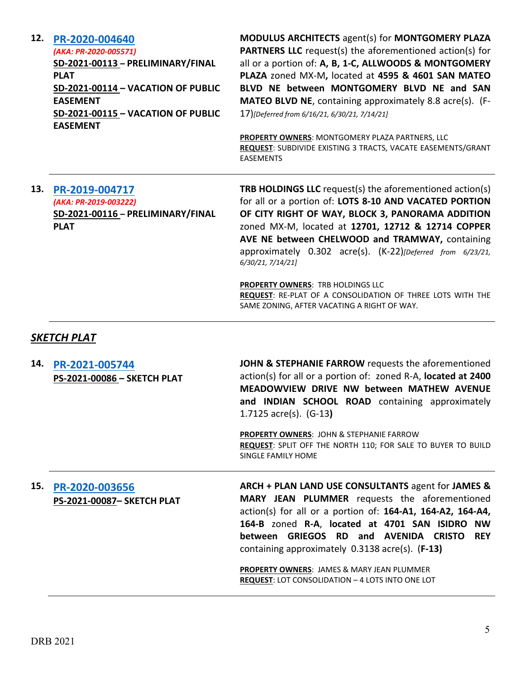| 12. | PR-2020-004640                     |
|-----|------------------------------------|
|     | (AKA: PR-2020-005571)              |
|     | SD-2021-00113 - PRELIMINARY/FINAL  |
|     | <b>PLAT</b>                        |
|     | SD-2021-00114 - VACATION OF PUBLIC |
|     | <b>EASEMENT</b>                    |
|     | SD-2021-00115 - VACATION OF PUBLIC |
|     | <b>EASEMENT</b>                    |

**MODULUS ARCHITECTS** agent(s) for **MONTGOMERY PLAZA PARTNERS LLC** request(s) the aforementioned action(s) for all or a portion of: **A, B, 1-C, ALLWOODS & MONTGOMERY PLAZA** zoned MX-M**,** located at **4595 & 4601 SAN MATEO BLVD NE between MONTGOMERY BLVD NE and SAN MATEO BLVD NE**, containing approximately 8.8 acre(s). (F-17)*[Deferred from 6/16/21, 6/30/21, 7/14/21]*

**PROPERTY OWNERS**: MONTGOMERY PLAZA PARTNERS, LLC **REQUEST**: SUBDIVIDE EXISTING 3 TRACTS, VACATE EASEMENTS/GRANT EASEMENTS

# **13. [PR-2019-004717](http://data.cabq.gov/government/planning/DRB/PR-2020-004717/DRB%20Submittals/PR-2020-004717_JULY_14_2021_SUPP/Application/)** *(AKA: PR-2019-003222)* **SD-2021-00116 – PRELIMINARY/FINAL PLAT**

**TRB HOLDINGS LLC** request(s) the aforementioned action(s) for all or a portion of: **LOTS 8-10 AND VACATED PORTION OF CITY RIGHT OF WAY, BLOCK 3, PANORAMA ADDITION**  zoned MX-M, located at **12701, 12712 & 12714 COPPER AVE NE between CHELWOOD and TRAMWAY,** containing approximately 0.302 acre(s). (K-22)*[Deferred from 6/23/21, 6/30/21, 7/14/21]*

**PROPERTY OWNERS**: TRB HOLDINGS LLC **REQUEST**: RE-PLAT OF A CONSOLIDATION OF THREE LOTS WITH THE SAME ZONING, AFTER VACATING A RIGHT OF WAY.

# *SKETCH PLAT*

**14. [PR-2021-005744](http://data.cabq.gov/government/planning/DRB/PR-2021-005744/DRB%20Submittals/PR-2021-005744_JULY_21_2021%20(Sketch)/Application/Untitled%20(3).pdf) PS-2021-00086 – SKETCH PLAT JOHN & STEPHANIE FARROW** requests the aforementioned action(s) for all or a portion of: zoned R-A, **located at 2400 MEADOWVIEW DRIVE NW between MATHEW AVENUE and INDIAN SCHOOL ROAD** containing approximately 1.7125 acre(s). (G-13**)**

> **PROPERTY OWNERS**: JOHN & STEPHANIE FARROW **REQUEST**: SPLIT OFF THE NORTH 110; FOR SALE TO BUYER TO BUILD SINGLE FAMILY HOME

# **15. [PR-2020-003656](http://data.cabq.gov/government/planning/DRB/PR-2020-003656/DRB%20Submittals/PR-2020-003656_JULY_21_2021%20(Sketch)/Application/PR%202020-003656%20SKETCH%20PLAT.pdf) PS-2021-00087– SKETCH PLAT**

**ARCH + PLAN LAND USE CONSULTANTS** agent for **JAMES & MARY JEAN PLUMMER** requests the aforementioned action(s) for all or a portion of: **164-A1, 164-A2, 164-A4, 164-B** zoned **R-A**, **located at 4701 SAN ISIDRO NW between GRIEGOS RD and AVENIDA CRISTO REY** containing approximately 0.3138 acre(s). (**F-13)**

**PROPERTY OWNERS**: JAMES & MARY JEAN PLUMMER **REQUEST**: LOT CONSOLIDATION – 4 LOTS INTO ONE LOT